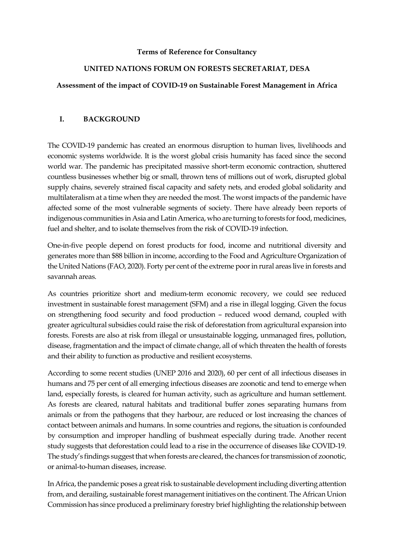#### **Terms of Reference for Consultancy**

#### **UNITED NATIONS FORUM ON FORESTS SECRETARIAT, DESA**

#### **Assessment of the impact of COVID-19 on Sustainable Forest Management in Africa**

#### **I. BACKGROUND**

The COVID-19 pandemic has created an enormous disruption to human lives, livelihoods and economic systems worldwide. It is the worst global crisis humanity has faced since the second world war. The pandemic has precipitated massive short-term economic contraction, shuttered countless businesses whether big or small, thrown tens of millions out of work, disrupted global supply chains, severely strained fiscal capacity and safety nets, and eroded global solidarity and multilateralism at a time when they are needed the most. The worst impacts of the pandemic have affected some of the most vulnerable segments of society. There have already been reports of indigenous communities in Asia and Latin America, who are turning to forests for food, medicines, fuel and shelter, and to isolate themselves from the risk of COVID-19 infection.

One-in-five people depend on forest products for food, income and nutritional diversity and generates more than \$88 billion in income, according to the Food and Agriculture Organization of the United Nations (FAO, 2020). Forty per cent of the extreme poor in rural areas live in forests and savannah areas.

As countries prioritize short and medium-term economic recovery, we could see reduced investment in sustainable forest management (SFM) and a rise in illegal logging. Given the focus on strengthening food security and food production – reduced wood demand, coupled with greater agricultural subsidies could raise the risk of deforestation from agricultural expansion into forests. Forests are also at risk from illegal or unsustainable logging, unmanaged fires, pollution, disease, fragmentation and the impact of climate change, all of which threaten the health of forests and their ability to function as productive and resilient ecosystems.

According to some recent studies (UNEP 2016 and 2020), 60 per cent of all infectious diseases in humans and 75 per cent of all emerging infectious diseases are zoonotic and tend to emerge when land, especially forests, is cleared for human activity, such as agriculture and human settlement. As forests are cleared, natural habitats and traditional buffer zones separating humans from animals or from the pathogens that they harbour, are reduced or lost increasing the chances of contact between animals and humans. In some countries and regions, the situation is confounded by consumption and improper handling of bushmeat especially during trade. Another recent study suggests that deforestation could lead to a rise in the occurrence of diseases like COVID-19. The study's findings suggest that when forests are cleared, the chances for transmission of zoonotic, or animal-to-human diseases, increase.

In Africa, the pandemic poses a great risk to sustainable development including diverting attention from, and derailing, sustainable forest management initiatives on the continent. The African Union Commission has since produced a preliminary forestry brief highlighting the relationship between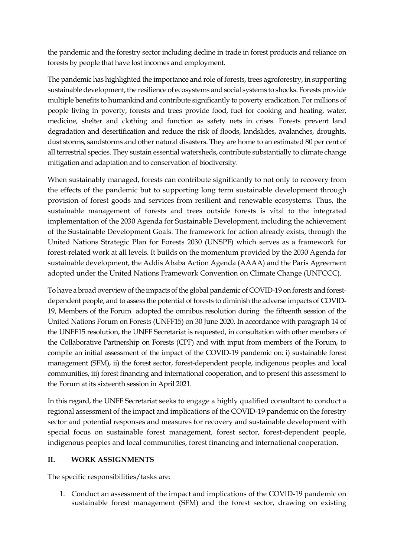the pandemic and the forestry sector including decline in trade in forest products and reliance on forests by people that have lost incomes and employment.

The pandemic has highlighted the importance and role of forests, trees agroforestry, in supporting sustainable development, the resilience of ecosystems and social systems to shocks. Forests provide multiple benefits to humankind and contribute significantly to poverty eradication. For millions of people living in poverty, forests and trees provide food, fuel for cooking and heating, water, medicine, shelter and clothing and function as safety nets in crises. Forests prevent land degradation and desertification and reduce the risk of floods, landslides, avalanches, droughts, dust storms, sandstorms and other natural disasters. They are home to an estimated 80 per cent of all terrestrial species. They sustain essential watersheds, contribute substantially to climate change mitigation and adaptation and to conservation of biodiversity.

When sustainably managed, forests can contribute significantly to not only to recovery from the effects of the pandemic but to supporting long term sustainable development through provision of forest goods and services from resilient and renewable ecosystems. Thus, the sustainable management of forests and trees outside forests is vital to the integrated implementation of the 2030 Agenda for Sustainable Development, including the achievement of the Sustainable Development Goals. The framework for action already exists, through the United Nations Strategic Plan for Forests 2030 (UNSPF) which serves as a framework for forest-related work at all levels. It builds on the momentum provided by the 2030 Agenda for sustainable development, the Addis Ababa Action Agenda (AAAA) and the Paris Agreement adopted under the United Nations Framework Convention on Climate Change (UNFCCC).

To have a broad overview of the impacts of the global pandemic of COVID-19 on forests and forestdependent people, and to assess the potential of forests to diminish the adverse impacts of COVID-19, Members of the Forum adopted the omnibus resolution during the fifteenth session of the United Nations Forum on Forests (UNFF15) on 30 June 2020. In accordance with paragraph 14 of the UNFF15 resolution, the UNFF Secretariat is requested, in consultation with other members of the Collaborative Partnership on Forests (CPF) and with input from members of the Forum, to compile an initial assessment of the impact of the COVID-19 pandemic on: i) sustainable forest management (SFM), ii) the forest sector, forest-dependent people, indigenous peoples and local communities, iii) forest financing and international cooperation, and to present this assessment to the Forum at its sixteenth session in April 2021.

In this regard, the UNFF Secretariat seeks to engage a highly qualified consultant to conduct a regional assessment of the impact and implications of the COVID-19 pandemic on the forestry sector and potential responses and measures for recovery and sustainable development with special focus on sustainable forest management, forest sector, forest-dependent people, indigenous peoples and local communities, forest financing and international cooperation.

# **II. WORK ASSIGNMENTS**

The specific responsibilities/tasks are:

1. Conduct an assessment of the impact and implications of the COVID-19 pandemic on sustainable forest management (SFM) and the forest sector, drawing on existing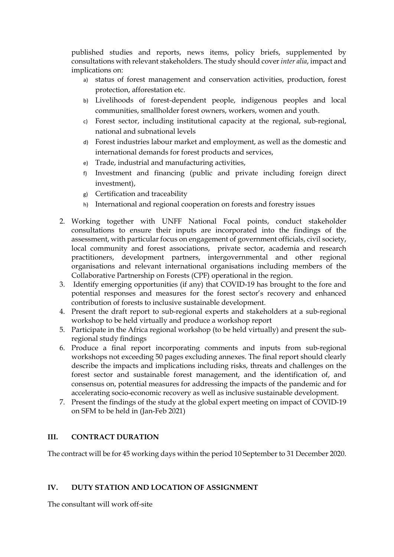published studies and reports, news items, policy briefs, supplemented by consultations with relevant stakeholders. The study should cover *inter alia*, impact and implications on:

- a) status of forest management and conservation activities, production, forest protection, afforestation etc.
- b) Livelihoods of forest-dependent people, indigenous peoples and local communities, smallholder forest owners, workers, women and youth.
- c) Forest sector, including institutional capacity at the regional, sub-regional, national and subnational levels
- d) Forest industries labour market and employment, as well as the domestic and international demands for forest products and services,
- e) Trade, industrial and manufacturing activities,
- f) Investment and financing (public and private including foreign direct investment),
- g) Certification and traceability
- h) International and regional cooperation on forests and forestry issues
- 2. Working together with UNFF National Focal points, conduct stakeholder consultations to ensure their inputs are incorporated into the findings of the assessment, with particular focus on engagement of government officials, civil society, local community and forest associations, private sector, academia and research practitioners, development partners, intergovernmental and other regional organisations and relevant international organisations including members of the Collaborative Partnership on Forests (CPF) operational in the region.
- 3. Identify emerging opportunities (if any) that COVID-19 has brought to the fore and potential responses and measures for the forest sector's recovery and enhanced contribution of forests to inclusive sustainable development.
- 4. Present the draft report to sub-regional experts and stakeholders at a sub-regional workshop to be held virtually and produce a workshop report
- 5. Participate in the Africa regional workshop (to be held virtually) and present the subregional study findings
- 6. Produce a final report incorporating comments and inputs from sub-regional workshops not exceeding 50 pages excluding annexes. The final report should clearly describe the impacts and implications including risks, threats and challenges on the forest sector and sustainable forest management, and the identification of, and consensus on, potential measures for addressing the impacts of the pandemic and for accelerating socio-economic recovery as well as inclusive sustainable development.
- 7. Present the findings of the study at the global expert meeting on impact of COVID-19 on SFM to be held in (Jan-Feb 2021)

# **III. CONTRACT DURATION**

The contract will be for 45 working days within the period 10 September to 31 December 2020.

# **IV. DUTY STATION AND LOCATION OF ASSIGNMENT**

The consultant will work off-site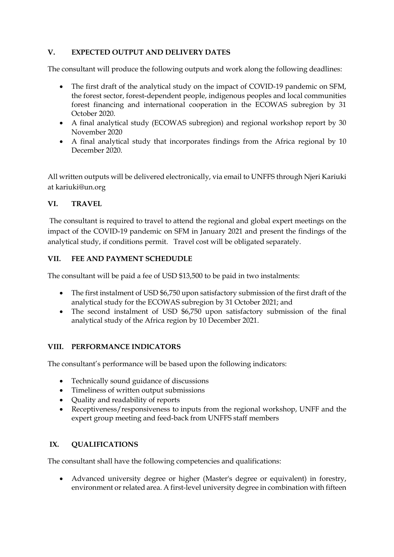# **V. EXPECTED OUTPUT AND DELIVERY DATES**

The consultant will produce the following outputs and work along the following deadlines:

- The first draft of the analytical study on the impact of COVID-19 pandemic on SFM, the forest sector, forest-dependent people, indigenous peoples and local communities forest financing and international cooperation in the ECOWAS subregion by 31 October 2020.
- A final analytical study (ECOWAS subregion) and regional workshop report by 30 November 2020
- A final analytical study that incorporates findings from the Africa regional by 10 December 2020.

All written outputs will be delivered electronically, via email to UNFFS through Njeri Kariuki at kariuki@un.org

# **VI. TRAVEL**

The consultant is required to travel to attend the regional and global expert meetings on the impact of the COVID-19 pandemic on SFM in January 2021 and present the findings of the analytical study, if conditions permit. Travel cost will be obligated separately.

### **VII. FEE AND PAYMENT SCHEDUDLE**

The consultant will be paid a fee of USD \$13,500 to be paid in two instalments:

- The first instalment of USD \$6,750 upon satisfactory submission of the first draft of the analytical study for the ECOWAS subregion by 31 October 2021; and
- The second instalment of USD \$6,750 upon satisfactory submission of the final analytical study of the Africa region by 10 December 2021.

# **VIII. PERFORMANCE INDICATORS**

The consultant's performance will be based upon the following indicators:

- Technically sound guidance of discussions
- Timeliness of written output submissions
- Quality and readability of reports
- Receptiveness/responsiveness to inputs from the regional workshop, UNFF and the expert group meeting and feed-back from UNFFS staff members

#### **IX. QUALIFICATIONS**

The consultant shall have the following competencies and qualifications:

• Advanced university degree or higher (Master's degree or equivalent) in forestry, environment or related area. A first-level university degree in combination with fifteen